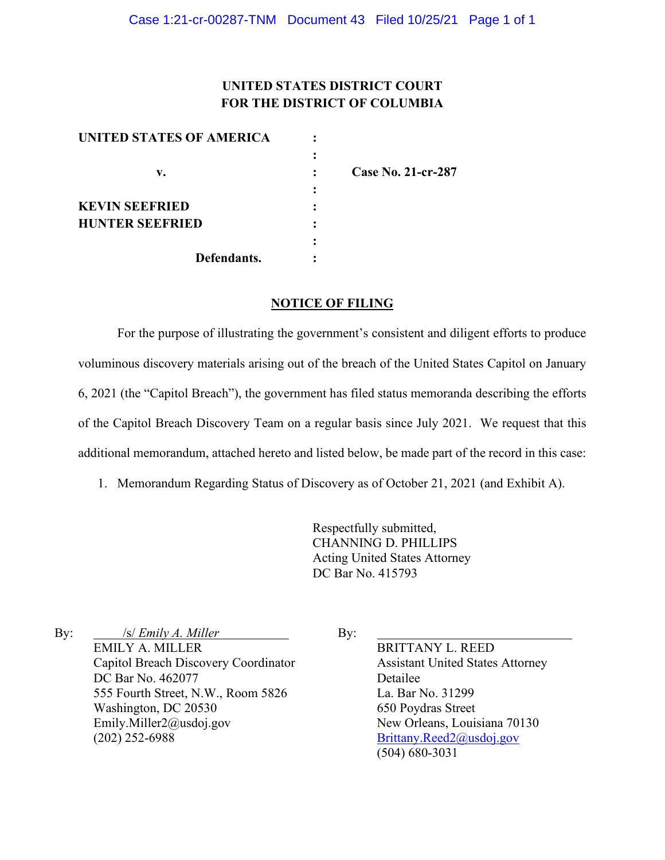# **UNITED STATES DISTRICT COURT FOR THE DISTRICT OF COLUMBIA**

| UNITED STATES OF AMERICA |                           |
|--------------------------|---------------------------|
|                          |                           |
| v.                       | <b>Case No. 21-cr-287</b> |
|                          |                           |
| <b>KEVIN SEEFRIED</b>    |                           |
| <b>HUNTER SEEFRIED</b>   |                           |
|                          |                           |
| Defendants.              |                           |

### **NOTICE OF FILING**

For the purpose of illustrating the government's consistent and diligent efforts to produce voluminous discovery materials arising out of the breach of the United States Capitol on January 6, 2021 (the "Capitol Breach"), the government has filed status memoranda describing the efforts of the Capitol Breach Discovery Team on a regular basis since July 2021. We request that this additional memorandum, attached hereto and listed below, be made part of the record in this case:

1. Memorandum Regarding Status of Discovery as of October 21, 2021 (and Exhibit A).

Respectfully submitted, CHANNING D. PHILLIPS Acting United States Attorney DC Bar No. 415793

By:  $\frac{|s|}{\text{Emly }A}$ . Miller EMILY A. MILLER Capitol Breach Discovery Coordinator DC Bar No. 462077 555 Fourth Street, N.W., Room 5826 Washington, DC 20530 Emily.Miller2@usdoj.gov (202) 252-6988

By:

BRITTANY L. REED Assistant United States Attorney Detailee La. Bar No. 31299 650 Poydras Street New Orleans, Louisiana 70130 Brittany.Reed2@usdoj.gov (504) 680-3031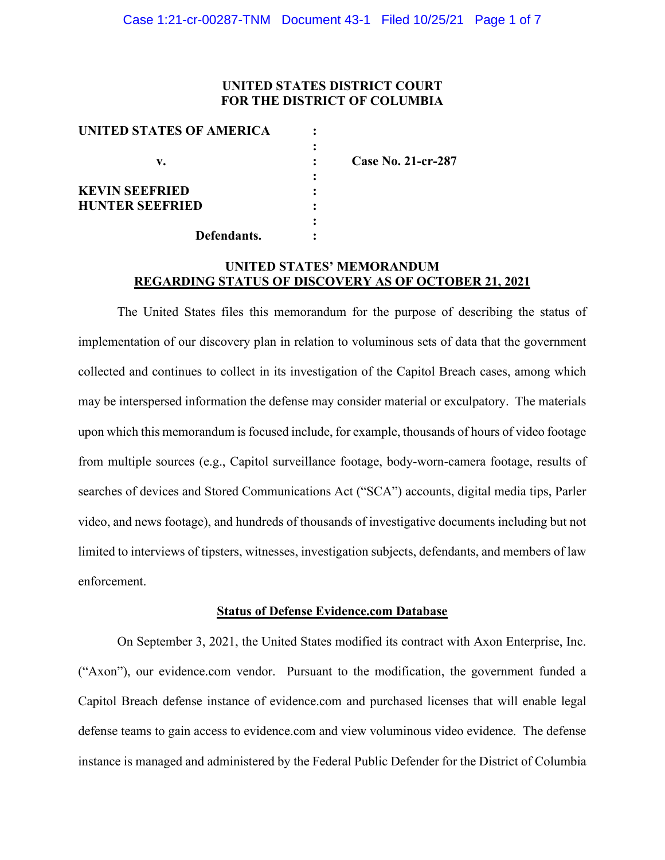## **UNITED STATES DISTRICT COURT FOR THE DISTRICT OF COLUMBIA**

| UNITED STATES OF AMERICA |                           |
|--------------------------|---------------------------|
|                          |                           |
| v.                       | <b>Case No. 21-cr-287</b> |
|                          |                           |
| <b>KEVIN SEEFRIED</b>    |                           |
| <b>HUNTER SEEFRIED</b>   |                           |
|                          |                           |
| Defendants.              |                           |

## **UNITED STATES' MEMORANDUM REGARDING STATUS OF DISCOVERY AS OF OCTOBER 21, 2021**

The United States files this memorandum for the purpose of describing the status of implementation of our discovery plan in relation to voluminous sets of data that the government collected and continues to collect in its investigation of the Capitol Breach cases, among which may be interspersed information the defense may consider material or exculpatory. The materials upon which this memorandum is focused include, for example, thousands of hours of video footage from multiple sources (e.g., Capitol surveillance footage, body-worn-camera footage, results of searches of devices and Stored Communications Act ("SCA") accounts, digital media tips, Parler video, and news footage), and hundreds of thousands of investigative documents including but not limited to interviews of tipsters, witnesses, investigation subjects, defendants, and members of law enforcement.

### **Status of Defense Evidence.com Database**

On September 3, 2021, the United States modified its contract with Axon Enterprise, Inc. ("Axon"), our evidence.com vendor. Pursuant to the modification, the government funded a Capitol Breach defense instance of evidence.com and purchased licenses that will enable legal defense teams to gain access to evidence.com and view voluminous video evidence. The defense instance is managed and administered by the Federal Public Defender for the District of Columbia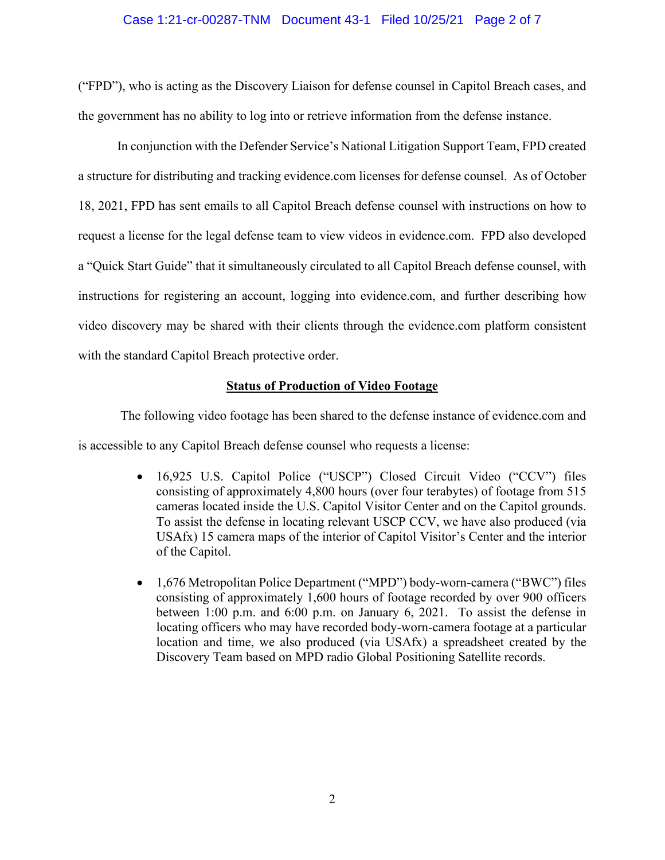## Case 1:21-cr-00287-TNM Document 43-1 Filed 10/25/21 Page 2 of 7

("FPD"), who is acting as the Discovery Liaison for defense counsel in Capitol Breach cases, and the government has no ability to log into or retrieve information from the defense instance.

In conjunction with the Defender Service's National Litigation Support Team, FPD created a structure for distributing and tracking evidence.com licenses for defense counsel. As of October 18, 2021, FPD has sent emails to all Capitol Breach defense counsel with instructions on how to request a license for the legal defense team to view videos in evidence.com. FPD also developed a "Quick Start Guide" that it simultaneously circulated to all Capitol Breach defense counsel, with instructions for registering an account, logging into evidence.com, and further describing how video discovery may be shared with their clients through the evidence.com platform consistent with the standard Capitol Breach protective order.

### **Status of Production of Video Footage**

The following video footage has been shared to the defense instance of evidence.com and is accessible to any Capitol Breach defense counsel who requests a license:

- 16,925 U.S. Capitol Police ("USCP") Closed Circuit Video ("CCV") files consisting of approximately 4,800 hours (over four terabytes) of footage from 515 cameras located inside the U.S. Capitol Visitor Center and on the Capitol grounds. To assist the defense in locating relevant USCP CCV, we have also produced (via USAfx) 15 camera maps of the interior of Capitol Visitor's Center and the interior of the Capitol.
- 1,676 Metropolitan Police Department ("MPD") body-worn-camera ("BWC") files consisting of approximately 1,600 hours of footage recorded by over 900 officers between 1:00 p.m. and 6:00 p.m. on January 6, 2021. To assist the defense in locating officers who may have recorded body-worn-camera footage at a particular location and time, we also produced (via USAfx) a spreadsheet created by the Discovery Team based on MPD radio Global Positioning Satellite records.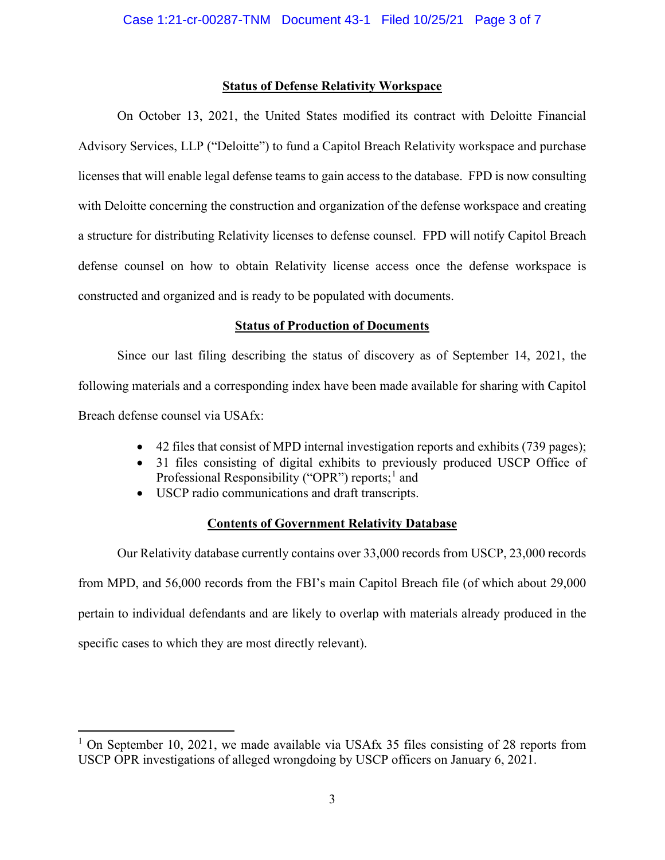## **Status of Defense Relativity Workspace**

On October 13, 2021, the United States modified its contract with Deloitte Financial Advisory Services, LLP ("Deloitte") to fund a Capitol Breach Relativity workspace and purchase licenses that will enable legal defense teams to gain access to the database. FPD is now consulting with Deloitte concerning the construction and organization of the defense workspace and creating a structure for distributing Relativity licenses to defense counsel. FPD will notify Capitol Breach defense counsel on how to obtain Relativity license access once the defense workspace is constructed and organized and is ready to be populated with documents.

## **Status of Production of Documents**

Since our last filing describing the status of discovery as of September 14, 2021, the following materials and a corresponding index have been made available for sharing with Capitol Breach defense counsel via USAfx:

- 42 files that consist of MPD internal investigation reports and exhibits (739 pages);
- 31 files consisting of digital exhibits to previously produced USCP Office of Professional Responsibility ("OPR") reports;<sup>1</sup> and
- USCP radio communications and draft transcripts.

# **Contents of Government Relativity Database**

Our Relativity database currently contains over 33,000 records from USCP, 23,000 records from MPD, and 56,000 records from the FBI's main Capitol Breach file (of which about 29,000 pertain to individual defendants and are likely to overlap with materials already produced in the specific cases to which they are most directly relevant).

<sup>&</sup>lt;sup>1</sup> On September 10, 2021, we made available via USAfx 35 files consisting of 28 reports from USCP OPR investigations of alleged wrongdoing by USCP officers on January 6, 2021.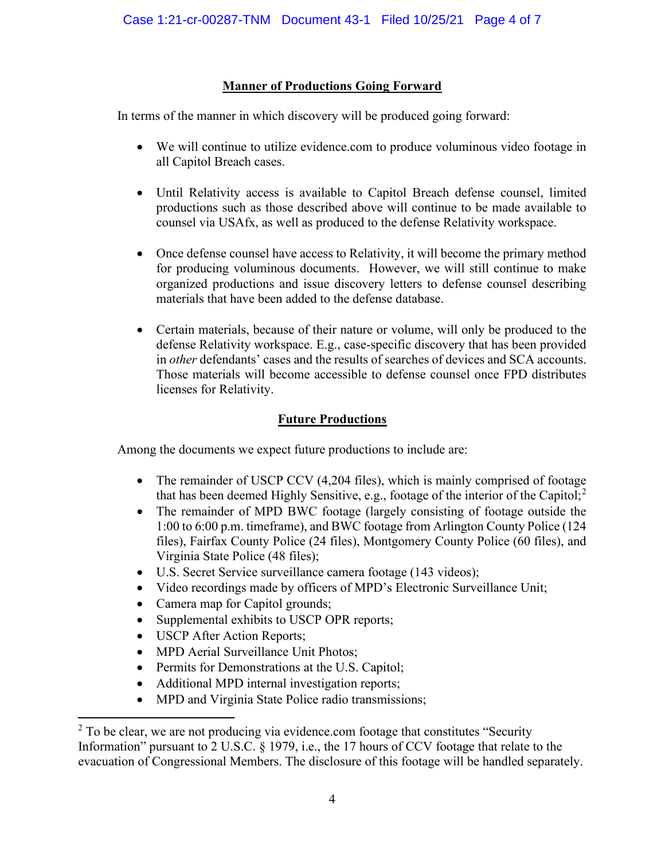# **Manner of Productions Going Forward**

In terms of the manner in which discovery will be produced going forward:

- We will continue to utilize evidence.com to produce voluminous video footage in all Capitol Breach cases.
- Until Relativity access is available to Capitol Breach defense counsel, limited productions such as those described above will continue to be made available to counsel via USAfx, as well as produced to the defense Relativity workspace.
- Once defense counsel have access to Relativity, it will become the primary method for producing voluminous documents. However, we will still continue to make organized productions and issue discovery letters to defense counsel describing materials that have been added to the defense database.
- Certain materials, because of their nature or volume, will only be produced to the defense Relativity workspace. E.g., case-specific discovery that has been provided in *other* defendants' cases and the results of searches of devices and SCA accounts. Those materials will become accessible to defense counsel once FPD distributes licenses for Relativity.

# **Future Productions**

Among the documents we expect future productions to include are:

- The remainder of USCP CCV (4,204 files), which is mainly comprised of footage that has been deemed Highly Sensitive, e.g., footage of the interior of the Capitol;<sup>2</sup>
- The remainder of MPD BWC footage (largely consisting of footage outside the 1:00 to 6:00 p.m. timeframe), and BWC footage from Arlington County Police (124 files), Fairfax County Police (24 files), Montgomery County Police (60 files), and Virginia State Police (48 files);
- U.S. Secret Service surveillance camera footage (143 videos);
- Video recordings made by officers of MPD's Electronic Surveillance Unit;
- Camera map for Capitol grounds;
- Supplemental exhibits to USCP OPR reports;
- USCP After Action Reports;
- MPD Aerial Surveillance Unit Photos;
- Permits for Demonstrations at the U.S. Capitol;
- Additional MPD internal investigation reports;
- MPD and Virginia State Police radio transmissions;

 $2$  To be clear, we are not producing via evidence.com footage that constitutes "Security" Information" pursuant to 2 U.S.C. § 1979, i.e., the 17 hours of CCV footage that relate to the evacuation of Congressional Members. The disclosure of this footage will be handled separately.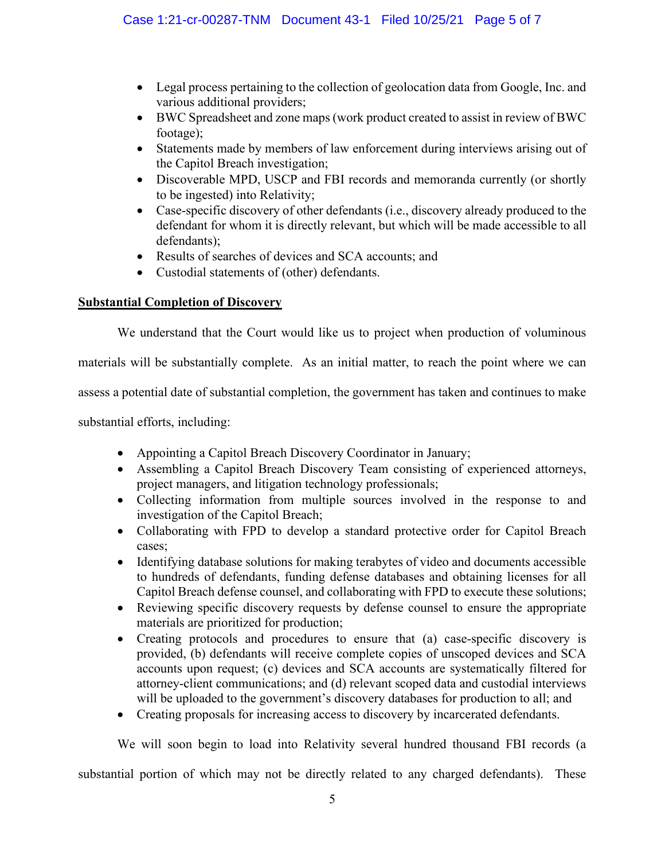- Legal process pertaining to the collection of geolocation data from Google, Inc. and various additional providers;
- BWC Spreadsheet and zone maps (work product created to assist in review of BWC footage);
- Statements made by members of law enforcement during interviews arising out of the Capitol Breach investigation;
- Discoverable MPD, USCP and FBI records and memoranda currently (or shortly to be ingested) into Relativity;
- Case-specific discovery of other defendants (i.e., discovery already produced to the defendant for whom it is directly relevant, but which will be made accessible to all defendants);
- Results of searches of devices and SCA accounts; and
- Custodial statements of (other) defendants.

# **Substantial Completion of Discovery**

We understand that the Court would like us to project when production of voluminous

materials will be substantially complete. As an initial matter, to reach the point where we can

assess a potential date of substantial completion, the government has taken and continues to make

substantial efforts, including:

- Appointing a Capitol Breach Discovery Coordinator in January;
- Assembling a Capitol Breach Discovery Team consisting of experienced attorneys, project managers, and litigation technology professionals;
- Collecting information from multiple sources involved in the response to and investigation of the Capitol Breach;
- Collaborating with FPD to develop a standard protective order for Capitol Breach cases;
- Identifying database solutions for making terabytes of video and documents accessible to hundreds of defendants, funding defense databases and obtaining licenses for all Capitol Breach defense counsel, and collaborating with FPD to execute these solutions;
- Reviewing specific discovery requests by defense counsel to ensure the appropriate materials are prioritized for production;
- Creating protocols and procedures to ensure that (a) case-specific discovery is provided, (b) defendants will receive complete copies of unscoped devices and SCA accounts upon request; (c) devices and SCA accounts are systematically filtered for attorney-client communications; and (d) relevant scoped data and custodial interviews will be uploaded to the government's discovery databases for production to all; and
- Creating proposals for increasing access to discovery by incarcerated defendants.

We will soon begin to load into Relativity several hundred thousand FBI records (a

substantial portion of which may not be directly related to any charged defendants). These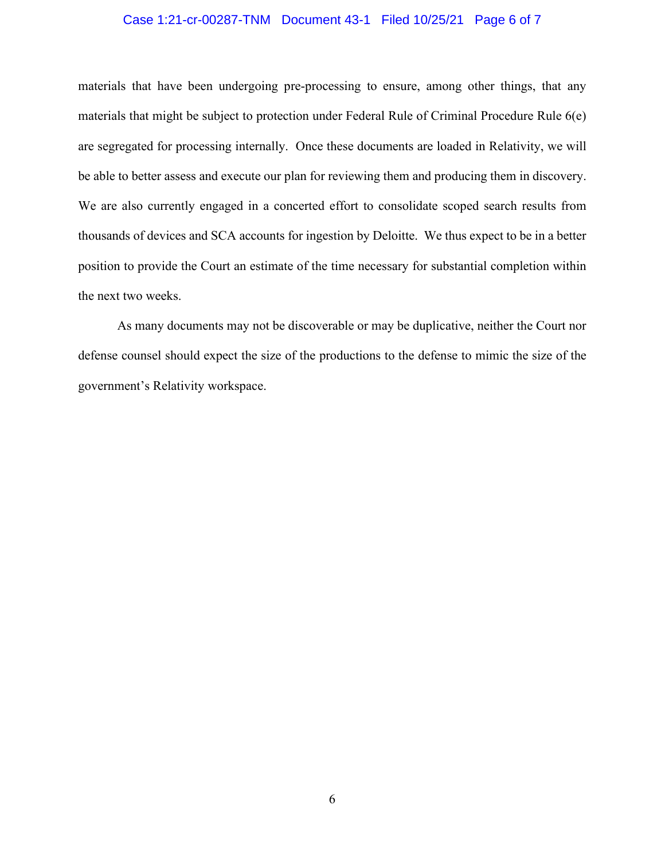#### Case 1:21-cr-00287-TNM Document 43-1 Filed 10/25/21 Page 6 of 7

materials that have been undergoing pre-processing to ensure, among other things, that any materials that might be subject to protection under Federal Rule of Criminal Procedure Rule 6(e) are segregated for processing internally. Once these documents are loaded in Relativity, we will be able to better assess and execute our plan for reviewing them and producing them in discovery. We are also currently engaged in a concerted effort to consolidate scoped search results from thousands of devices and SCA accounts for ingestion by Deloitte. We thus expect to be in a better position to provide the Court an estimate of the time necessary for substantial completion within the next two weeks.

As many documents may not be discoverable or may be duplicative, neither the Court nor defense counsel should expect the size of the productions to the defense to mimic the size of the government's Relativity workspace.